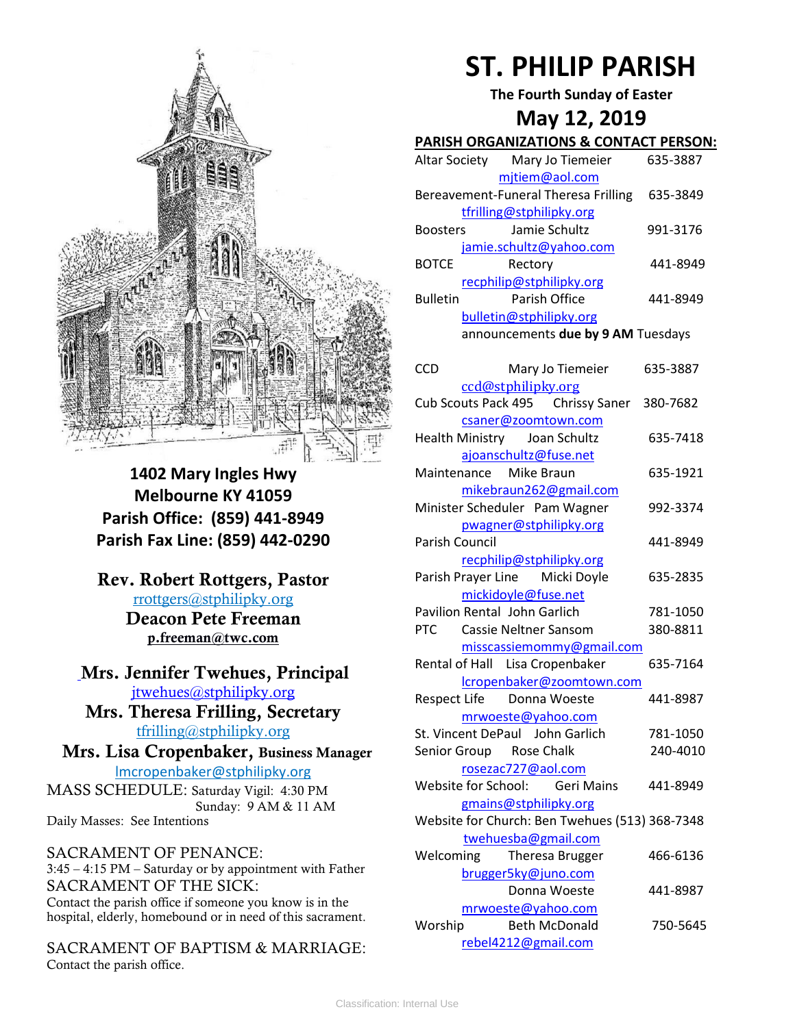

**1402 Mary Ingles Hwy Melbourne KY 41059 Parish Office: (859) 441-8949 Parish Fax Line: (859) 442-0290**

**Rev. Robert Rottgers, Pastor**  [rrottgers@stphilipky.org](mailto:rrottgers@stphilipky.org) **Deacon Pete Freeman p.freeman@twc.com**

**Mrs. Jennifer Twehues, Principal** [jtwehues@stphilipky.org](mailto:jtwehues@stphilipky.org)

**Mrs. Theresa Frilling, Secretary**  [tfrilling@stphilipky.org](mailto:tfrilling@stphilipky.org)

 **Mrs. Lisa Cropenbaker, Business Manager**  lmcropenbaker@stphilipky.org

MASS SCHEDULE: Saturday Vigil: 4:30 PM Sunday: 9 AM & 11 AM Daily Masses: See Intentions

SACRAMENT OF PENANCE: 3:45 – 4:15 PM – Saturday or by appointment with Father SACRAMENT OF THE SICK: Contact the parish office if someone you know is in the hospital, elderly, homebound or in need of this sacrament.

SACRAMENT OF BAPTISM & MARRIAGE: Contact the parish office.

# **ST. PHILIP PARISH**

**The Fourth Sunday of Easter**

## **May 12, 2019**

### **PARISH ORGANIZATIONS & CONTACT PERSON:**

| Altar Society                                    | Mary Jo Tiemeier         | 635-3887 |  |  |
|--------------------------------------------------|--------------------------|----------|--|--|
|                                                  | mjtiem@aol.com           |          |  |  |
| Bereavement-Funeral Theresa Frilling<br>635-3849 |                          |          |  |  |
|                                                  | tfrilling@stphilipky.org |          |  |  |
| <b>Boosters</b>                                  | Jamie Schultz            | 991-3176 |  |  |
|                                                  | jamie.schultz@yahoo.com  |          |  |  |
| <b>BOTCE</b>                                     | Rectory                  | 441-8949 |  |  |
|                                                  | recphilip@stphilipky.org |          |  |  |
| <b>Bulletin</b>                                  | Parish Office            | 441-8949 |  |  |
|                                                  | bulletin@stphilipky.org  |          |  |  |
| announcements due by 9 AM Tuesdays               |                          |          |  |  |

| <b>CCD</b>            | Mary Jo Tiemeier                               | 635-3887 |
|-----------------------|------------------------------------------------|----------|
|                       | ccd@stphilipky.org                             |          |
|                       | Cub Scouts Pack 495 Chrissy Saner              | 380-7682 |
|                       | csaner@zoomtown.com                            |          |
|                       | Health Ministry Joan Schultz                   | 635-7418 |
|                       | ajoanschultz@fuse.net                          |          |
|                       | Maintenance Mike Braun                         | 635-1921 |
|                       | mikebraun262@gmail.com                         |          |
|                       | Minister Scheduler Pam Wagner                  | 992-3374 |
|                       | pwagner@stphilipky.org                         |          |
| <b>Parish Council</b> |                                                | 441-8949 |
|                       | recphilip@stphilipky.org                       |          |
|                       | Parish Prayer Line Micki Doyle                 | 635-2835 |
|                       | mickidoyle@fuse.net                            |          |
|                       | <b>Pavilion Rental John Garlich</b>            | 781-1050 |
| PTC                   | <b>Cassie Neltner Sansom</b>                   | 380-8811 |
|                       | misscassiemommy@gmail.com                      |          |
|                       | Rental of Hall Lisa Cropenbaker                | 635-7164 |
|                       | lcropenbaker@zoomtown.com                      |          |
|                       | Respect Life  Donna Woeste                     | 441-8987 |
|                       | mrwoeste@yahoo.com                             |          |
|                       | St. Vincent DePaul John Garlich                | 781-1050 |
|                       | Senior Group Rose Chalk                        | 240-4010 |
|                       | rosezac727@aol.com                             |          |
|                       | Website for School: Geri Mains                 | 441-8949 |
|                       | gmains@stphilipky.org                          |          |
|                       | Website for Church: Ben Twehues (513) 368-7348 |          |
|                       | twehuesba@gmail.com                            |          |
| Welcoming             | Theresa Brugger                                | 466-6136 |
|                       | brugger5ky@juno.com                            |          |
|                       | Donna Woeste                                   | 441-8987 |
|                       | mrwoeste@yahoo.com                             |          |
| Worship               | <b>Beth McDonald</b>                           | 750-5645 |
|                       | rebel4212@gmail.com                            |          |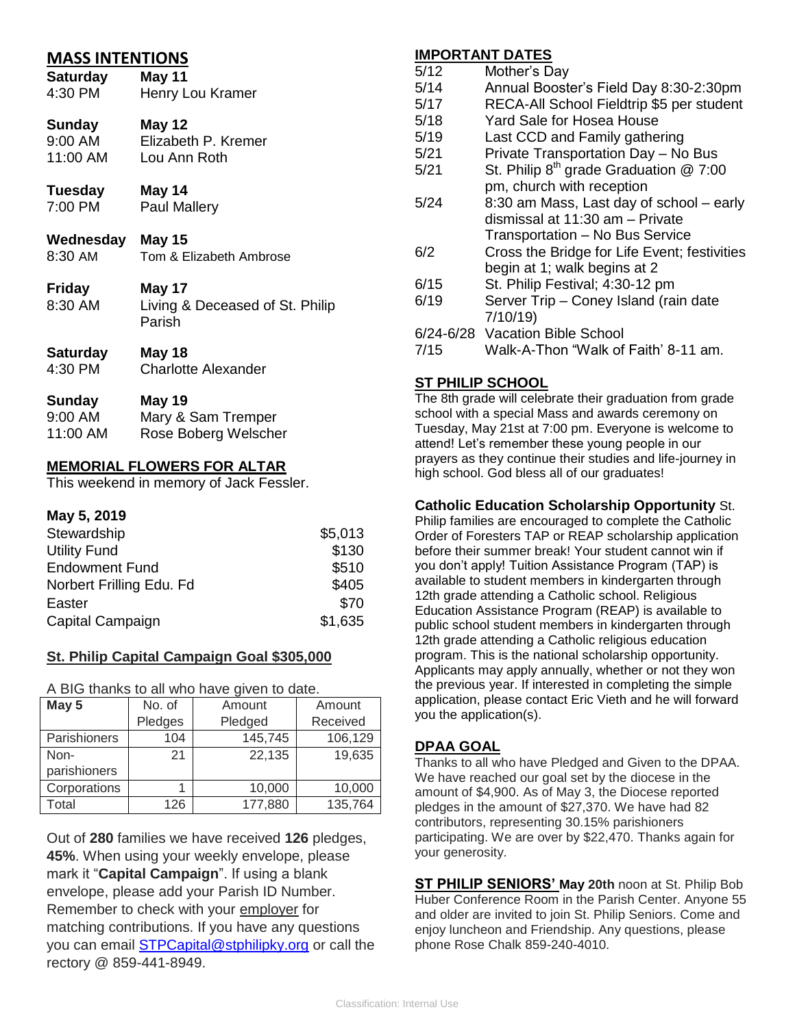| <b>MASS INTENTIONS</b>  |                                           |  |  |  |
|-------------------------|-------------------------------------------|--|--|--|
| Saturday                | <b>May 11</b>                             |  |  |  |
| 4:30 PM                 | Henry Lou Kramer                          |  |  |  |
| Sunday                  | May 12                                    |  |  |  |
| 9:00 AM                 | Elizabeth P. Kremer                       |  |  |  |
| 11:00 AM                | Lou Ann Roth                              |  |  |  |
| Tuesday                 | May 14                                    |  |  |  |
| 7:00 PM                 | <b>Paul Mallery</b>                       |  |  |  |
| <b>Wednesday May 15</b> |                                           |  |  |  |
| 8:30 AM                 | Tom & Elizabeth Ambrose                   |  |  |  |
| <b>Friday</b>           | May 17                                    |  |  |  |
| 8:30 AM                 | Living & Deceased of St. Philip<br>Parish |  |  |  |
| <b>Saturday</b>         | <b>May 18</b>                             |  |  |  |
| 4:30 PM                 | <b>Charlotte Alexander</b>                |  |  |  |
| Sunday                  | <b>May 19</b>                             |  |  |  |
| 9:00 AM                 | Mary & Sam Tremper                        |  |  |  |
| 11:00 AM                | Rose Boberg Welscher                      |  |  |  |

#### **MEMORIAL FLOWERS FOR ALTAR**

This weekend in memory of Jack Fessler.

#### **May 5, 2019**

| Stewardship              | \$5,013 |
|--------------------------|---------|
| <b>Utility Fund</b>      | \$130   |
| <b>Endowment Fund</b>    | \$510   |
| Norbert Frilling Edu. Fd | \$405   |
| Easter                   | \$70    |
| Capital Campaign         | \$1,635 |

#### **St. Philip Capital Campaign Goal \$305,000**

A BIG thanks to all who have given to date.

| May 5        | No. of  | Amount  | Amount   |
|--------------|---------|---------|----------|
|              | Pledges | Pledged | Received |
| Parishioners | 104     | 145,745 | 106,129  |
| Non-         | 21      | 22,135  | 19,635   |
| parishioners |         |         |          |
| Corporations |         | 10,000  | 10,000   |
| Total        | 126     | 177,880 | 135,764  |

Out of **280** families we have received **126** pledges, **45%**. When using your weekly envelope, please mark it "**Capital Campaign**". If using a blank envelope, please add your Parish ID Number. Remember to check with your employer for matching contributions. If you have any questions you can email [STPCapital@stphilipky.org](mailto:STPCapital@stphilipky.org) or call the rectory @ 859-441-8949.

#### **IMPORTANT DATES**

| 5/12 | Mother's Day                                  |  |
|------|-----------------------------------------------|--|
| 5/14 | Annual Booster's Field Day 8:30-2:30pm        |  |
| 5/17 | RECA-All School Fieldtrip \$5 per student     |  |
| 5/18 | Yard Sale for Hosea House                     |  |
| 5/19 | Last CCD and Family gathering                 |  |
| 5/21 | Private Transportation Day - No Bus           |  |
| 5/21 | St. Philip $8^{th}$ grade Graduation $@ 7:00$ |  |
|      | pm, church with reception                     |  |
| 5/24 | 8:30 am Mass, Last day of school - early      |  |
|      | dismissal at 11:30 am – Private               |  |
|      | Transportation - No Bus Service               |  |
| 6/2  | Cross the Bridge for Life Event; festivities  |  |
|      | begin at 1; walk begins at 2                  |  |
| 6/15 | St. Philip Festival; 4:30-12 pm               |  |
| 6/19 | Server Trip - Coney Island (rain date         |  |
|      | 7/10/19                                       |  |
|      | 6/24-6/28 Vacation Bible School               |  |
| 7/15 | Walk-A-Thon "Walk of Faith' 8-11 am.          |  |
|      |                                               |  |

#### **ST PHILIP SCHOOL**

The 8th grade will celebrate their graduation from grade school with a special Mass and awards ceremony on Tuesday, May 21st at 7:00 pm. Everyone is welcome to attend! Let's remember these young people in our prayers as they continue their studies and life-journey in high school. God bless all of our graduates!

#### **Catholic Education Scholarship Opportunity** St.

Philip families are encouraged to complete the Catholic Order of Foresters TAP or REAP scholarship application before their summer break! Your student cannot win if you don't apply! Tuition Assistance Program (TAP) is available to student members in kindergarten through 12th grade attending a Catholic school. Religious Education Assistance Program (REAP) is available to public school student members in kindergarten through 12th grade attending a Catholic religious education program. This is the national scholarship opportunity. Applicants may apply annually, whether or not they won the previous year. If interested in completing the simple application, please contact Eric Vieth and he will forward you the application(s).

#### **DPAA GOAL**

Thanks to all who have Pledged and Given to the DPAA. We have reached our goal set by the diocese in the amount of \$4,900. As of May 3, the Diocese reported pledges in the amount of \$27,370. We have had 82 contributors, representing 30.15% parishioners participating. We are over by \$22,470. Thanks again for your generosity.

**ST PHILIP SENIORS' May 20th** noon at St. Philip Bob Huber Conference Room in the Parish Center. Anyone 55 and older are invited to join St. Philip Seniors. Come and enjoy luncheon and Friendship. Any questions, please phone Rose Chalk 859-240-4010.